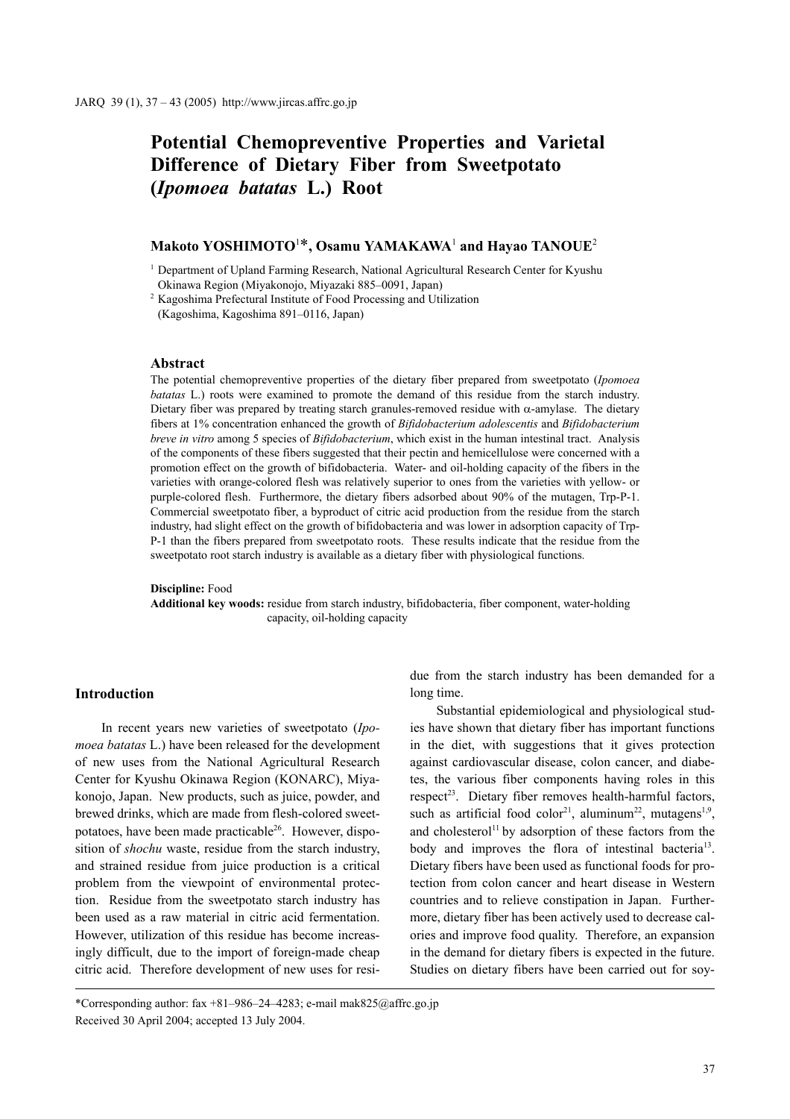# **Potential Chemopreventive Properties and Varietal Difference of Dietary Fiber from Sweetpotato (***Ipomoea batatas* **L.) Root**

# **Makoto YOSHIMOTO**<sup>1</sup> \***, Osamu YAMAKAWA**<sup>1</sup>  **and Hayao TANOUE**<sup>2</sup>

<sup>1</sup> Department of Upland Farming Research, National Agricultural Research Center for Kyushu Okinawa Region (Miyakonojo, Miyazaki 885–0091, Japan)

<sup>2</sup> Kagoshima Prefectural Institute of Food Processing and Utilization (Kagoshima, Kagoshima 891–0116, Japan)

#### **Abstract**

The potential chemopreventive properties of the dietary fiber prepared from sweetpotato (*Ipomoea batatas* L.) roots were examined to promote the demand of this residue from the starch industry. Dietary fiber was prepared by treating starch granules-removed residue with  $\alpha$ -amylase. The dietary fibers at 1% concentration enhanced the growth of *Bifidobacterium adolescentis* and *Bifidobacterium breve in vitro* among 5 species of *Bifidobacterium*, which exist in the human intestinal tract. Analysis of the components of these fibers suggested that their pectin and hemicellulose were concerned with a promotion effect on the growth of bifidobacteria. Water- and oil-holding capacity of the fibers in the varieties with orange-colored flesh was relatively superior to ones from the varieties with yellow- or purple-colored flesh. Furthermore, the dietary fibers adsorbed about 90% of the mutagen, Trp-P-1. Commercial sweetpotato fiber, a byproduct of citric acid production from the residue from the starch industry, had slight effect on the growth of bifidobacteria and was lower in adsorption capacity of Trp-P-1 than the fibers prepared from sweetpotato roots. These results indicate that the residue from the sweetpotato root starch industry is available as a dietary fiber with physiological functions.

**Discipline:** Food **Additional key woods:** residue from starch industry, bifidobacteria, fiber component, water-holding capacity, oil-holding capacity

#### **Introduction**

In recent years new varieties of sweetpotato (*Ipomoea batatas* L.) have been released for the development of new uses from the National Agricultural Research Center for Kyushu Okinawa Region (KONARC), Miyakonojo, Japan. New products, such as juice, powder, and brewed drinks, which are made from flesh-colored sweetpotatoes, have been made practicable $26$ . However, disposition of *shochu* waste, residue from the starch industry, and strained residue from juice production is a critical problem from the viewpoint of environmental protection. Residue from the sweetpotato starch industry has been used as a raw material in citric acid fermentation. However, utilization of this residue has become increasingly difficult, due to the import of foreign-made cheap citric acid. Therefore development of new uses for resi-

Substantial epidemiological and physiological studies have shown that dietary fiber has important functions in the diet, with suggestions that it gives protection against cardiovascular disease, colon cancer, and diabetes, the various fiber components having roles in this  $respect<sup>23</sup>$ . Dietary fiber removes health-harmful factors, such as artificial food color<sup>21</sup>, aluminum<sup>22</sup>, mutagens<sup>1,9</sup>, and cholesterol<sup>11</sup> by adsorption of these factors from the body and improves the flora of intestinal bacteria<sup>13</sup>. Dietary fibers have been used as functional foods for protection from colon cancer and heart disease in Western countries and to relieve constipation in Japan. Furthermore, dietary fiber has been actively used to decrease calories and improve food quality. Therefore, an expansion in the demand for dietary fibers is expected in the future. Studies on dietary fibers have been carried out for soy-

due from the starch industry has been demanded for a long time.

<sup>\*</sup>Corresponding author: fax +81–986–24–4283; e-mail mak825@affrc.go.jp Received 30 April 2004; accepted 13 July 2004.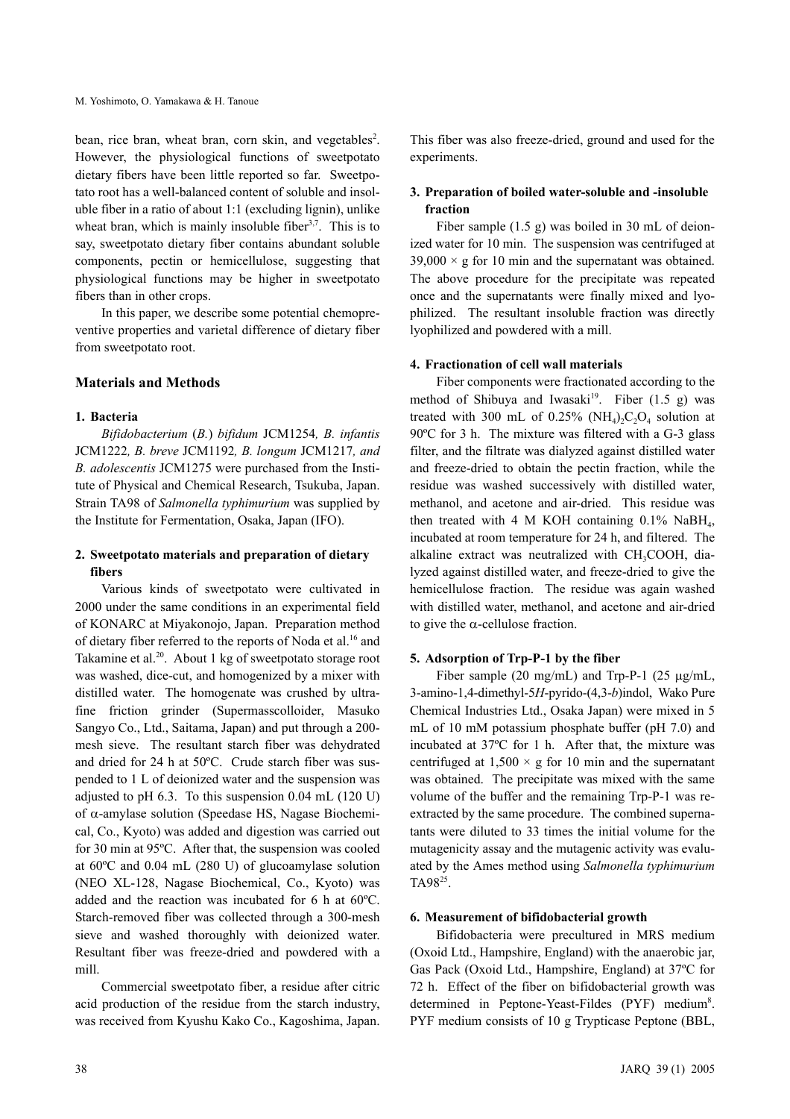bean, rice bran, wheat bran, corn skin, and vegetables<sup>2</sup>. However, the physiological functions of sweetpotato dietary fibers have been little reported so far. Sweetpotato root has a well-balanced content of soluble and insoluble fiber in a ratio of about 1:1 (excluding lignin), unlike wheat bran, which is mainly insoluble fiber<sup>3,7</sup>. This is to say, sweetpotato dietary fiber contains abundant soluble components, pectin or hemicellulose, suggesting that physiological functions may be higher in sweetpotato fibers than in other crops.

In this paper, we describe some potential chemopreventive properties and varietal difference of dietary fiber from sweetpotato root.

# **Materials and Methods**

# **1. Bacteria**

*Bifidobacterium* (*B.*) *bifidum* JCM1254*, B. infantis* JCM1222*, B. breve* JCM1192*, B. longum* JCM1217*, and B. adolescentis* JCM1275 were purchased from the Institute of Physical and Chemical Research, Tsukuba, Japan. Strain TA98 of *Salmonella typhimurium* was supplied by the Institute for Fermentation, Osaka, Japan (IFO).

# **2. Sweetpotato materials and preparation of dietary fibers**

Various kinds of sweetpotato were cultivated in 2000 under the same conditions in an experimental field of KONARC at Miyakonojo, Japan. Preparation method of dietary fiber referred to the reports of Noda et al.<sup>16</sup> and Takamine et al.<sup>20</sup>. About 1 kg of sweetpotato storage root was washed, dice-cut, and homogenized by a mixer with distilled water. The homogenate was crushed by ultrafine friction grinder (Supermasscolloider, Masuko Sangyo Co., Ltd., Saitama, Japan) and put through a 200 mesh sieve. The resultant starch fiber was dehydrated and dried for 24 h at 50ºC. Crude starch fiber was suspended to 1 L of deionized water and the suspension was adjusted to pH 6.3. To this suspension 0.04 mL (120 U) of α-amylase solution (Speedase HS, Nagase Biochemical, Co., Kyoto) was added and digestion was carried out for 30 min at 95ºC. After that, the suspension was cooled at 60ºC and 0.04 mL (280 U) of glucoamylase solution (NEO XL-128, Nagase Biochemical, Co., Kyoto) was added and the reaction was incubated for 6 h at 60ºC. Starch-removed fiber was collected through a 300-mesh sieve and washed thoroughly with deionized water. Resultant fiber was freeze-dried and powdered with a mill.

Commercial sweetpotato fiber, a residue after citric acid production of the residue from the starch industry, was received from Kyushu Kako Co., Kagoshima, Japan.

This fiber was also freeze-dried, ground and used for the experiments.

# **3. Preparation of boiled water-soluble and -insoluble fraction**

Fiber sample (1.5 g) was boiled in 30 mL of deionized water for 10 min. The suspension was centrifuged at  $39,000 \times g$  for 10 min and the supernatant was obtained. The above procedure for the precipitate was repeated once and the supernatants were finally mixed and lyophilized. The resultant insoluble fraction was directly lyophilized and powdered with a mill.

### **4. Fractionation of cell wall materials**

Fiber components were fractionated according to the method of Shibuya and Iwasaki<sup>19</sup>. Fiber  $(1.5 \text{ g})$  was treated with 300 mL of  $0.25\%$  (NH<sub>4</sub>)<sub>2</sub>C<sub>2</sub>O<sub>4</sub> solution at 90°C for 3 h. The mixture was filtered with a G-3 glass filter, and the filtrate was dialyzed against distilled water and freeze-dried to obtain the pectin fraction, while the residue was washed successively with distilled water, methanol, and acetone and air-dried. This residue was then treated with 4 M KOH containing  $0.1\%$  NaBH<sub>4</sub>, incubated at room temperature for 24 h, and filtered. The alkaline extract was neutralized with  $CH_3COOH$ , dialyzed against distilled water, and freeze-dried to give the hemicellulose fraction. The residue was again washed with distilled water, methanol, and acetone and air-dried to give the  $\alpha$ -cellulose fraction.

# **5. Adsorption of Trp-P-1 by the fiber**

Fiber sample (20 mg/mL) and Trp-P-1 (25 µg/mL, 3-amino-1,4-dimethyl-5*H*-pyrido-(4,3-*b*)indol, Wako Pure Chemical Industries Ltd., Osaka Japan) were mixed in 5 mL of 10 mM potassium phosphate buffer (pH 7.0) and incubated at 37ºC for 1 h. After that, the mixture was centrifuged at  $1,500 \times g$  for 10 min and the supernatant was obtained. The precipitate was mixed with the same volume of the buffer and the remaining Trp-P-1 was reextracted by the same procedure. The combined supernatants were diluted to 33 times the initial volume for the mutagenicity assay and the mutagenic activity was evaluated by the Ames method using *Salmonella typhimurium* TA9825.

### **6. Measurement of bifidobacterial growth**

Bifidobacteria were precultured in MRS medium (Oxoid Ltd., Hampshire, England) with the anaerobic jar, Gas Pack (Oxoid Ltd., Hampshire, England) at 37ºC for 72 h. Effect of the fiber on bifidobacterial growth was determined in Peptone-Yeast-Fildes (PYF) medium<sup>8</sup>. PYF medium consists of 10 g Trypticase Peptone (BBL,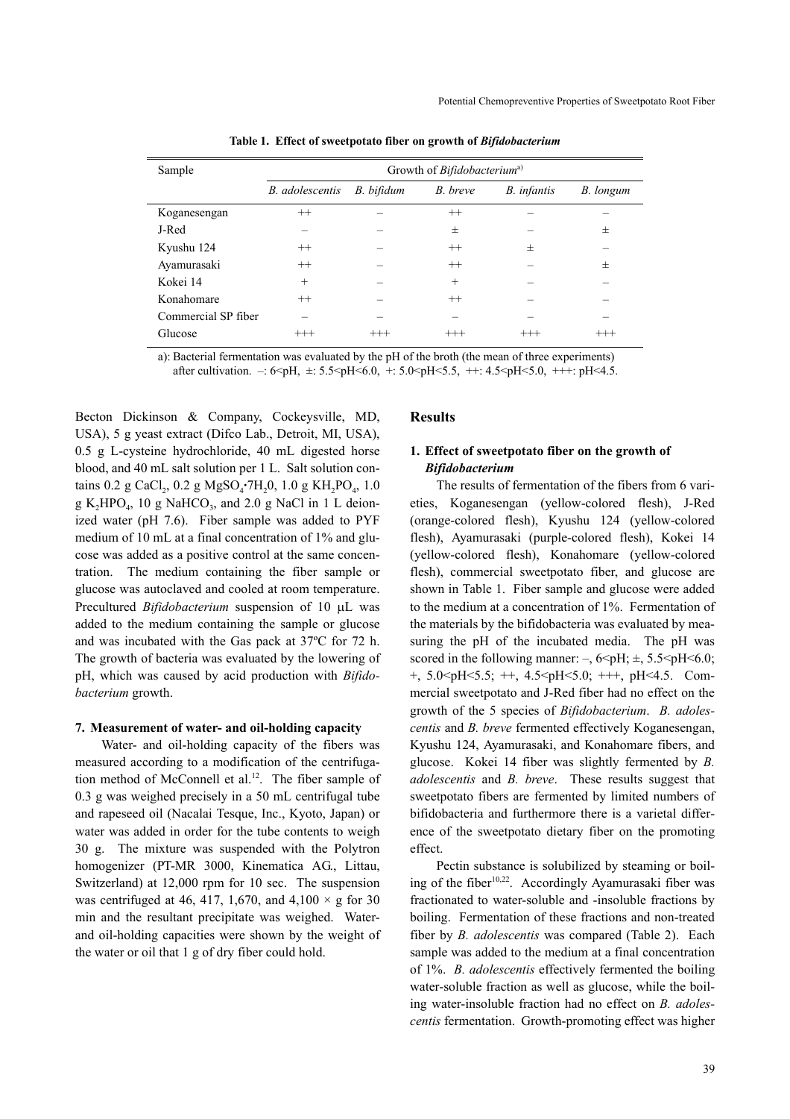| Sample              | Growth of Bifidobacterium <sup>a)</sup> |            |          |             |           |
|---------------------|-----------------------------------------|------------|----------|-------------|-----------|
|                     | B. adolescentis                         | B. bifidum | B. breve | B. infantis | B. longum |
| Koganesengan        | $^{++}$                                 |            | $^{++}$  |             |           |
| J-Red               |                                         |            | 士        |             | $^{+}$    |
| Kyushu 124          | $^{++}$                                 |            | $^{++}$  | 士           |           |
| Ayamurasaki         | $^{++}$                                 |            | $^{++}$  |             | $^{+}$    |
| Kokei 14            | $^{+}$                                  |            | $^{+}$   |             |           |
| Konahomare          | $^{++}$                                 |            | $^{++}$  |             |           |
| Commercial SP fiber |                                         |            |          |             |           |
| Glucose             | $^{+++}$                                | $^{+++}$   | $^{+++}$ | $^{+++}$    | $^{+++}$  |

**Table 1. Effect of sweetpotato fiber on growth of** *Bifidobacterium*

a): Bacterial fermentation was evaluated by the pH of the broth (the mean of three experiments) after cultivation.  $-$ : 6<pH,  $\pm$ : 5.5<pH<6.0, +: 5.0<pH<5.5, ++: 4.5<pH<5.0, +++: pH<4.5.

Becton Dickinson & Company, Cockeysville, MD, USA), 5 g yeast extract (Difco Lab., Detroit, MI, USA), 0.5 g L-cysteine hydrochloride, 40 mL digested horse blood, and 40 mL salt solution per 1 L. Salt solution contains 0.2 g CaCl<sub>2</sub>, 0.2 g MgSO<sub>4</sub>·7H<sub>2</sub>0, 1.0 g KH<sub>2</sub>PO<sub>4</sub>, 1.0  $g K<sub>2</sub>HPO<sub>4</sub>$ , 10 g NaHCO<sub>3</sub>, and 2.0 g NaCl in 1 L deionized water (pH 7.6). Fiber sample was added to PYF medium of 10 mL at a final concentration of 1% and glucose was added as a positive control at the same concentration. The medium containing the fiber sample or glucose was autoclaved and cooled at room temperature. Precultured *Bifidobacterium* suspension of 10 µL was added to the medium containing the sample or glucose and was incubated with the Gas pack at 37ºC for 72 h. The growth of bacteria was evaluated by the lowering of pH, which was caused by acid production with *Bifidobacterium* growth.

#### **7. Measurement of water- and oil-holding capacity**

Water- and oil-holding capacity of the fibers was measured according to a modification of the centrifugation method of McConnell et al.<sup>12</sup>. The fiber sample of 0.3 g was weighed precisely in a 50 mL centrifugal tube and rapeseed oil (Nacalai Tesque, Inc., Kyoto, Japan) or water was added in order for the tube contents to weigh 30 g. The mixture was suspended with the Polytron homogenizer (PT-MR 3000, Kinematica AG., Littau, Switzerland) at 12,000 rpm for 10 sec. The suspension was centrifuged at 46, 417, 1,670, and 4,100  $\times$  g for 30 min and the resultant precipitate was weighed. Waterand oil-holding capacities were shown by the weight of the water or oil that 1 g of dry fiber could hold.

#### **Results**

# **1. Effect of sweetpotato fiber on the growth of**  *Bifidobacterium*

The results of fermentation of the fibers from 6 varieties, Koganesengan (yellow-colored flesh), J-Red (orange-colored flesh), Kyushu 124 (yellow-colored flesh), Ayamurasaki (purple-colored flesh), Kokei 14 (yellow-colored flesh), Konahomare (yellow-colored flesh), commercial sweetpotato fiber, and glucose are shown in Table 1. Fiber sample and glucose were added to the medium at a concentration of 1%. Fermentation of the materials by the bifidobacteria was evaluated by measuring the pH of the incubated media. The pH was scored in the following manner:  $-$ ,  $6$  $pH$ ;  $\pm$ ,  $5.5$  $pH$  $<$ 6.0; +, 5.0<pH<5.5; ++, 4.5<pH<5.0; +++, pH<4.5. Commercial sweetpotato and J-Red fiber had no effect on the growth of the 5 species of *Bifidobacterium*. *B. adolescentis* and *B. breve* fermented effectively Koganesengan, Kyushu 124, Ayamurasaki, and Konahomare fibers, and glucose. Kokei 14 fiber was slightly fermented by *B. adolescentis* and *B. breve*. These results suggest that sweetpotato fibers are fermented by limited numbers of bifidobacteria and furthermore there is a varietal difference of the sweetpotato dietary fiber on the promoting effect.

Pectin substance is solubilized by steaming or boiling of the fiber<sup>10,22</sup>. Accordingly Ayamurasaki fiber was fractionated to water-soluble and -insoluble fractions by boiling. Fermentation of these fractions and non-treated fiber by *B. adolescentis* was compared (Table 2). Each sample was added to the medium at a final concentration of 1%. *B. adolescentis* effectively fermented the boiling water-soluble fraction as well as glucose, while the boiling water-insoluble fraction had no effect on *B. adolescentis* fermentation. Growth-promoting effect was higher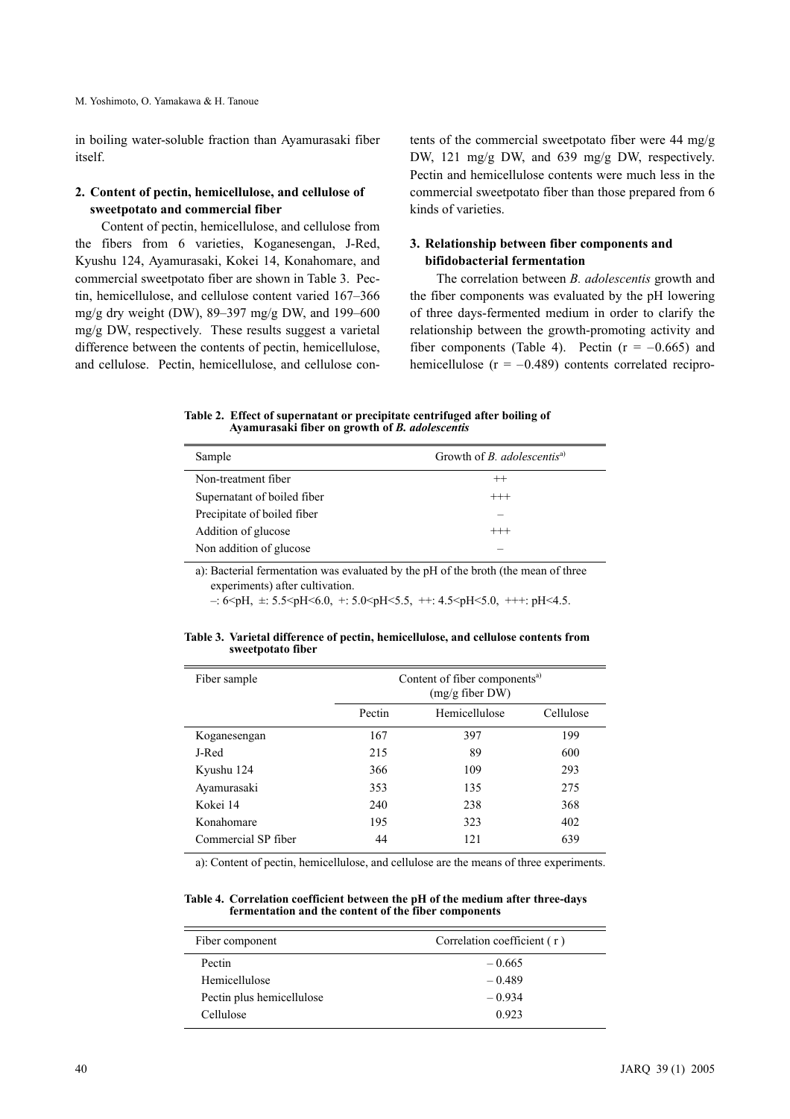in boiling water-soluble fraction than Ayamurasaki fiber itself.

### **2. Content of pectin, hemicellulose, and cellulose of sweetpotato and commercial fiber**

Content of pectin, hemicellulose, and cellulose from the fibers from 6 varieties, Koganesengan, J-Red, Kyushu 124, Ayamurasaki, Kokei 14, Konahomare, and commercial sweetpotato fiber are shown in Table 3. Pectin, hemicellulose, and cellulose content varied 167–366 mg/g dry weight (DW), 89–397 mg/g DW, and 199–600 mg/g DW, respectively. These results suggest a varietal difference between the contents of pectin, hemicellulose, and cellulose. Pectin, hemicellulose, and cellulose contents of the commercial sweetpotato fiber were 44 mg/g DW, 121 mg/g DW, and 639 mg/g DW, respectively. Pectin and hemicellulose contents were much less in the commercial sweetpotato fiber than those prepared from 6 kinds of varieties.

### **3. Relationship between fiber components and bifidobacterial fermentation**

The correlation between *B. adolescentis* growth and the fiber components was evaluated by the pH lowering of three days-fermented medium in order to clarify the relationship between the growth-promoting activity and fiber components (Table 4). Pectin ( $r = -0.665$ ) and hemicellulose ( $r = -0.489$ ) contents correlated recipro-

**Table 2. Effect of supernatant or precipitate centrifuged after boiling of Ayamurasaki fiber on growth of** *B. adolescentis*

| Sample                      | Growth of <i>B. adolescentis<sup>a)</sup></i> |
|-----------------------------|-----------------------------------------------|
| Non-treatment fiber         | $^{++}$                                       |
| Supernatant of boiled fiber | $^{+++}$                                      |
| Precipitate of boiled fiber |                                               |
| Addition of glucose         | $^{+++}$                                      |
| Non addition of glucose     |                                               |

a): Bacterial fermentation was evaluated by the pH of the broth (the mean of three experiments) after cultivation.

 $-$ : 6  $\phi$ H,  $\pm$ : 5.5  $\phi$ H  $\leq$  6.0,  $+$ : 5.0  $\phi$ H  $\leq$  5.5,  $+$ : 4.5  $\phi$ H $\leq$  5.0,  $++$ : pH $\leq$  4.5.

| Table 3. Varietal difference of pectin, hemicellulose, and cellulose contents from |  |  |
|------------------------------------------------------------------------------------|--|--|
| sweetpotato fiber                                                                  |  |  |

| Fiber sample        | Content of fiber components <sup>a)</sup><br>$(mg/g$ fiber DW) |               |           |
|---------------------|----------------------------------------------------------------|---------------|-----------|
|                     | Pectin                                                         | Hemicellulose | Cellulose |
| Koganesengan        | 167                                                            | 397           | 199       |
| J-Red               | 215                                                            | 89            | 600       |
| Kyushu 124          | 366                                                            | 109           | 293       |
| Ayamurasaki         | 353                                                            | 135           | 275       |
| Kokei 14            | 240                                                            | 238           | 368       |
| Konahomare          | 195                                                            | 323           | 402       |
| Commercial SP fiber | 44                                                             | 121           | 639       |

a): Content of pectin, hemicellulose, and cellulose are the means of three experiments.

**Table 4. Correlation coefficient between the pH of the medium after three-days fermentation and the content of the fiber components**

| Fiber component           | Correlation coefficient (r) |  |  |
|---------------------------|-----------------------------|--|--|
| Pectin                    | $-0.665$                    |  |  |
| Hemicellulose             | $-0.489$                    |  |  |
| Pectin plus hemicellulose | $-0.934$                    |  |  |
| Cellulose                 | 0.923                       |  |  |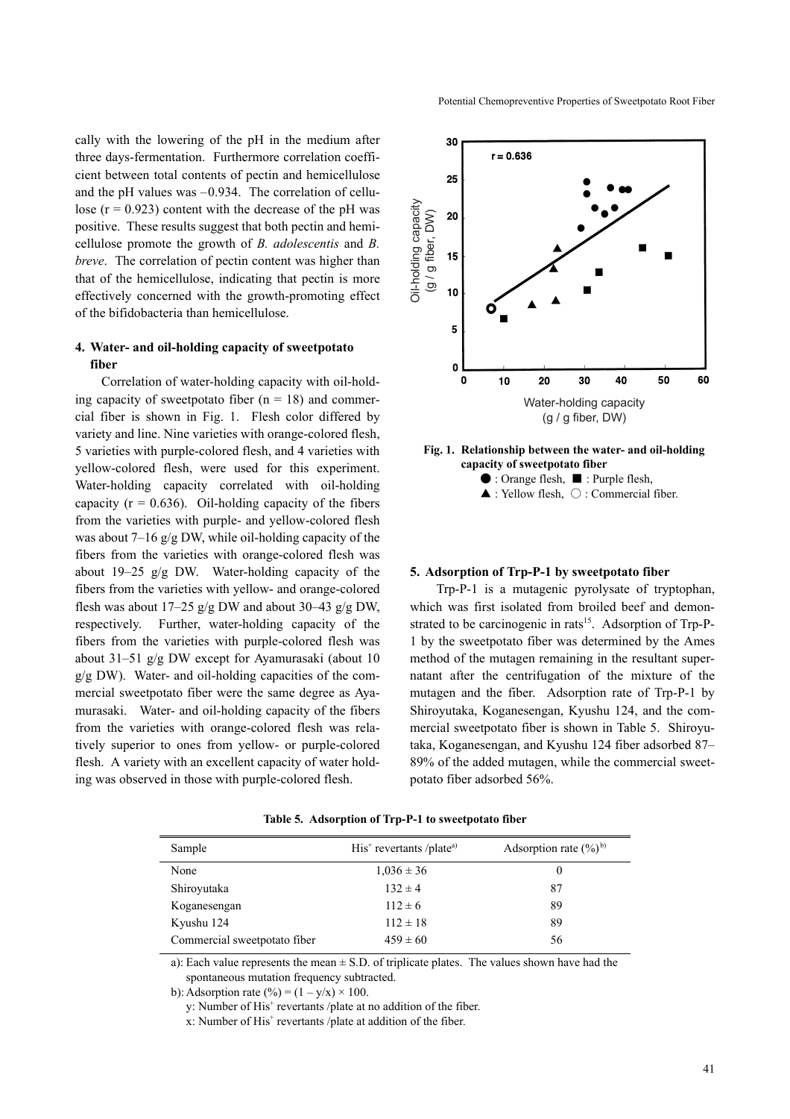Potential Chemopreventive Properties of Sweetpotato Root Fiber

cally with the lowering of the pH in the medium after three days-fermentation. Furthermore correlation coefficient between total contents of pectin and hemicellulose and the pH values was  $-0.934$ . The correlation of cellulose  $(r = 0.923)$  content with the decrease of the pH was positive. These results suggest that both pectin and hemicellulose promote the growth of *B. adolescentis* and *B. breve*. The correlation of pectin content was higher than that of the hemicellulose, indicating that pectin is more effectively concerned with the growth-promoting effect of the bifidobacteria than hemicellulose.

# **4. Water- and oil-holding capacity of sweetpotato fiber**

Correlation of water-holding capacity with oil-holding capacity of sweetpotato fiber  $(n = 18)$  and commercial fiber is shown in Fig. 1. Flesh color differed by variety and line. Nine varieties with orange-colored flesh, 5 varieties with purple-colored flesh, and 4 varieties with yellow-colored flesh, were used for this experiment. Water-holding capacity correlated with oil-holding capacity  $(r = 0.636)$ . Oil-holding capacity of the fibers from the varieties with purple- and yellow-colored flesh was about 7–16 g/g DW, while oil-holding capacity of the fibers from the varieties with orange-colored flesh was about 19–25 g/g DW. Water-holding capacity of the fibers from the varieties with yellow- and orange-colored flesh was about  $17-25$  g/g DW and about  $30-43$  g/g DW, respectively. Further, water-holding capacity of the fibers from the varieties with purple-colored flesh was about 31–51 g/g DW except for Ayamurasaki (about 10 g/g DW). Water- and oil-holding capacities of the commercial sweetpotato fiber were the same degree as Ayamurasaki. Water- and oil-holding capacity of the fibers from the varieties with orange-colored flesh was relatively superior to ones from yellow- or purple-colored flesh. A variety with an excellent capacity of water holding was observed in those with purple-colored flesh.



### **Fig. 1. Relationship between the water- and oil-holding capacity of sweetpotato fiber**



### **5. Adsorption of Trp-P-1 by sweetpotato fiber**

Trp-P-1 is a mutagenic pyrolysate of tryptophan, which was first isolated from broiled beef and demonstrated to be carcinogenic in rats<sup>15</sup>. Adsorption of Trp-P-1 by the sweetpotato fiber was determined by the Ames method of the mutagen remaining in the resultant supernatant after the centrifugation of the mixture of the mutagen and the fiber. Adsorption rate of Trp-P-1 by Shiroyutaka, Koganesengan, Kyushu 124, and the commercial sweetpotato fiber is shown in Table 5. Shiroyutaka, Koganesengan, and Kyushu 124 fiber adsorbed 87– 89% of the added mutagen, while the commercial sweetpotato fiber adsorbed 56%.

| Sample                       | $His+$ revertants /plate <sup>a)</sup> | Adsorption rate $(\%)^{\text{b}}$ |
|------------------------------|----------------------------------------|-----------------------------------|
| None                         | $1,036 \pm 36$                         |                                   |
| Shiroyutaka                  | $132 \pm 4$                            | 87                                |
| Koganesengan                 | $112 \pm 6$                            | 89                                |
| Kyushu 124                   | $112 \pm 18$                           | 89                                |
| Commercial sweetpotato fiber | $459 \pm 60$                           | 56                                |

**Table 5. Adsorption of Trp-P-1 to sweetpotato fiber**

a): Each value represents the mean  $\pm$  S.D. of triplicate plates. The values shown have had the spontaneous mutation frequency subtracted.

b): Adsorption rate  $(\%) = (1 - y/x) \times 100$ .

y: Number of His<sup>+</sup> revertants /plate at no addition of the fiber.

x: Number of His<sup>+</sup> revertants /plate at addition of the fiber.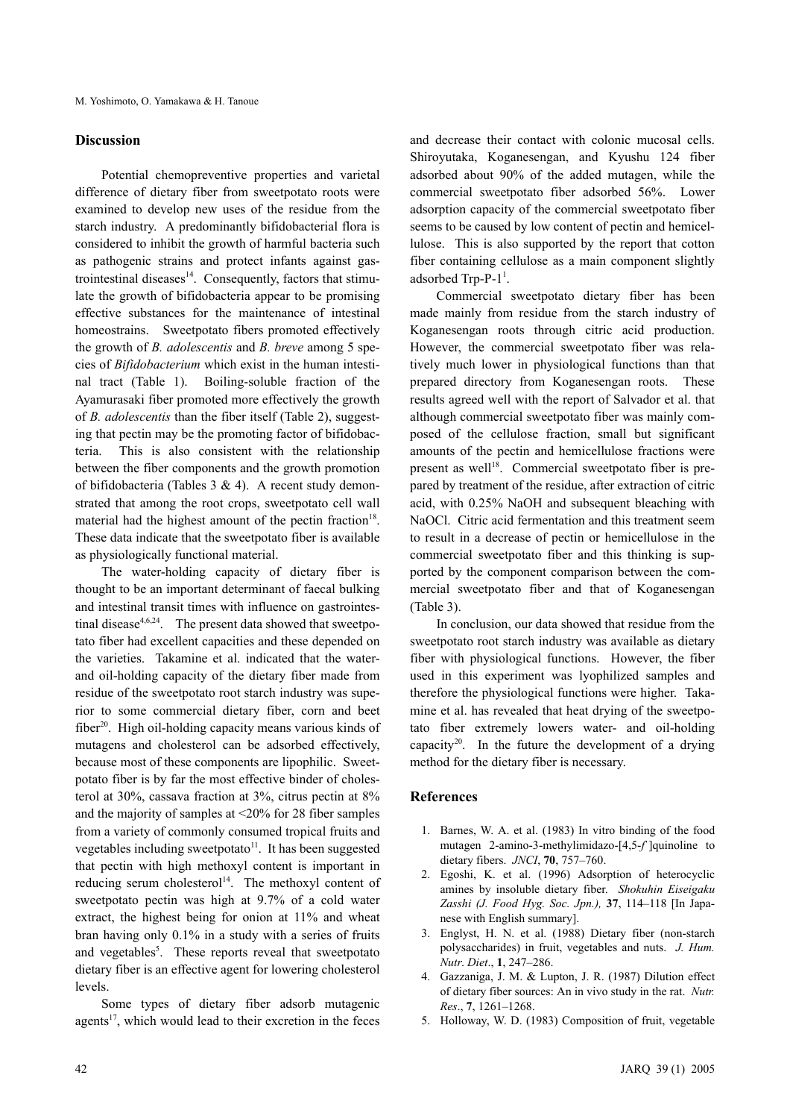### **Discussion**

Potential chemopreventive properties and varietal difference of dietary fiber from sweetpotato roots were examined to develop new uses of the residue from the starch industry. A predominantly bifidobacterial flora is considered to inhibit the growth of harmful bacteria such as pathogenic strains and protect infants against gastrointestinal diseases $14$ . Consequently, factors that stimulate the growth of bifidobacteria appear to be promising effective substances for the maintenance of intestinal homeostrains. Sweetpotato fibers promoted effectively the growth of *B. adolescentis* and *B. breve* among 5 species of *Bifidobacterium* which exist in the human intestinal tract (Table 1). Boiling-soluble fraction of the Ayamurasaki fiber promoted more effectively the growth of *B. adolescentis* than the fiber itself (Table 2), suggesting that pectin may be the promoting factor of bifidobacteria. This is also consistent with the relationship between the fiber components and the growth promotion of bifidobacteria (Tables 3 & 4). A recent study demonstrated that among the root crops, sweetpotato cell wall material had the highest amount of the pectin fraction<sup>18</sup>. These data indicate that the sweetpotato fiber is available as physiologically functional material.

The water-holding capacity of dietary fiber is thought to be an important determinant of faecal bulking and intestinal transit times with influence on gastrointestinal disease<sup>4,6,24</sup>. The present data showed that sweetpotato fiber had excellent capacities and these depended on the varieties. Takamine et al. indicated that the waterand oil-holding capacity of the dietary fiber made from residue of the sweetpotato root starch industry was superior to some commercial dietary fiber, corn and beet fiber<sup>20</sup>. High oil-holding capacity means various kinds of mutagens and cholesterol can be adsorbed effectively, because most of these components are lipophilic. Sweetpotato fiber is by far the most effective binder of cholesterol at 30%, cassava fraction at 3%, citrus pectin at 8% and the majority of samples at <20% for 28 fiber samples from a variety of commonly consumed tropical fruits and vegetables including sweetpotato<sup>11</sup>. It has been suggested that pectin with high methoxyl content is important in reducing serum cholesterol<sup>14</sup>. The methoxyl content of sweetpotato pectin was high at 9.7% of a cold water extract, the highest being for onion at 11% and wheat bran having only 0.1% in a study with a series of fruits and vegetables<sup>5</sup>. These reports reveal that sweetpotato dietary fiber is an effective agent for lowering cholesterol levels.

Some types of dietary fiber adsorb mutagenic agents $17$ , which would lead to their excretion in the feces and decrease their contact with colonic mucosal cells. Shiroyutaka, Koganesengan, and Kyushu 124 fiber adsorbed about 90% of the added mutagen, while the commercial sweetpotato fiber adsorbed 56%. Lower adsorption capacity of the commercial sweetpotato fiber seems to be caused by low content of pectin and hemicellulose. This is also supported by the report that cotton fiber containing cellulose as a main component slightly adsorbed  $Trp-P-1<sup>1</sup>$ .

Commercial sweetpotato dietary fiber has been made mainly from residue from the starch industry of Koganesengan roots through citric acid production. However, the commercial sweetpotato fiber was relatively much lower in physiological functions than that prepared directory from Koganesengan roots. These results agreed well with the report of Salvador et al. that although commercial sweetpotato fiber was mainly composed of the cellulose fraction, small but significant amounts of the pectin and hemicellulose fractions were present as well<sup>18</sup>. Commercial sweetpotato fiber is prepared by treatment of the residue, after extraction of citric acid, with 0.25% NaOH and subsequent bleaching with NaOCl. Citric acid fermentation and this treatment seem to result in a decrease of pectin or hemicellulose in the commercial sweetpotato fiber and this thinking is supported by the component comparison between the commercial sweetpotato fiber and that of Koganesengan (Table 3).

In conclusion, our data showed that residue from the sweetpotato root starch industry was available as dietary fiber with physiological functions. However, the fiber used in this experiment was lyophilized samples and therefore the physiological functions were higher. Takamine et al. has revealed that heat drying of the sweetpotato fiber extremely lowers water- and oil-holding capacity<sup>20</sup>. In the future the development of a drying method for the dietary fiber is necessary.

### **References**

- 1. Barnes, W. A. et al. (1983) In vitro binding of the food mutagen 2-amino-3-methylimidazo-[4,5-*f*`]quinoline to dietary fibers. *JNCI*, **70**, 757–760.
- 2. Egoshi, K. et al. (1996) Adsorption of heterocyclic amines by insoluble dietary fiber. *Shokuhin Eiseigaku Zasshi (J. Food Hyg. Soc. Jpn.),* **37**, 114–118 [In Japanese with English summary].
- 3. Englyst, H. N. et al. (1988) Dietary fiber (non-starch polysaccharides) in fruit, vegetables and nuts. *J. Hum. Nutr*. *Diet*., **1**, 247–286.
- 4. Gazzaniga, J. M. & Lupton, J. R. (1987) Dilution effect of dietary fiber sources: An in vivo study in the rat. *Nutr. Res*., **7**, 1261–1268.
- 5. Holloway, W. D. (1983) Composition of fruit, vegetable